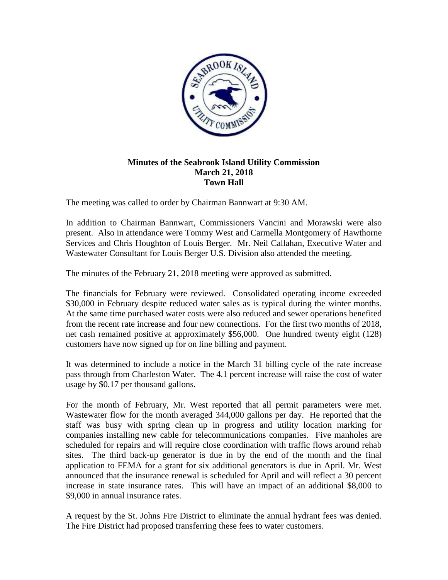

## **Minutes of the Seabrook Island Utility Commission March 21, 2018 Town Hall**

The meeting was called to order by Chairman Bannwart at 9:30 AM.

In addition to Chairman Bannwart, Commissioners Vancini and Morawski were also present. Also in attendance were Tommy West and Carmella Montgomery of Hawthorne Services and Chris Houghton of Louis Berger. Mr. Neil Callahan, Executive Water and Wastewater Consultant for Louis Berger U.S. Division also attended the meeting.

The minutes of the February 21, 2018 meeting were approved as submitted.

The financials for February were reviewed. Consolidated operating income exceeded \$30,000 in February despite reduced water sales as is typical during the winter months. At the same time purchased water costs were also reduced and sewer operations benefited from the recent rate increase and four new connections. For the first two months of 2018, net cash remained positive at approximately \$56,000. One hundred twenty eight (128) customers have now signed up for on line billing and payment.

It was determined to include a notice in the March 31 billing cycle of the rate increase pass through from Charleston Water. The 4.1 percent increase will raise the cost of water usage by \$0.17 per thousand gallons.

For the month of February, Mr. West reported that all permit parameters were met. Wastewater flow for the month averaged 344,000 gallons per day. He reported that the staff was busy with spring clean up in progress and utility location marking for companies installing new cable for telecommunications companies. Five manholes are scheduled for repairs and will require close coordination with traffic flows around rehab sites. The third back-up generator is due in by the end of the month and the final application to FEMA for a grant for six additional generators is due in April. Mr. West announced that the insurance renewal is scheduled for April and will reflect a 30 percent increase in state insurance rates. This will have an impact of an additional \$8,000 to \$9,000 in annual insurance rates.

A request by the St. Johns Fire District to eliminate the annual hydrant fees was denied. The Fire District had proposed transferring these fees to water customers.